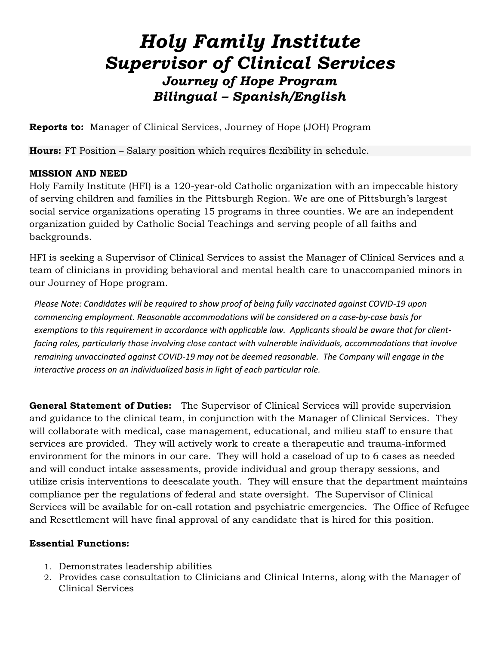# *Holy Family Institute Supervisor of Clinical Services Journey of Hope Program Bilingual – Spanish/English*

**Reports to:** Manager of Clinical Services, Journey of Hope (JOH) Program

**Hours:** FT Position – Salary position which requires flexibility in schedule.

## **MISSION AND NEED**

Holy Family Institute (HFI) is a 120-year-old Catholic organization with an impeccable history of serving children and families in the Pittsburgh Region. We are one of Pittsburgh's largest social service organizations operating 15 programs in three counties. We are an independent organization guided by Catholic Social Teachings and serving people of all faiths and backgrounds.

HFI is seeking a Supervisor of Clinical Services to assist the Manager of Clinical Services and a team of clinicians in providing behavioral and mental health care to unaccompanied minors in our Journey of Hope program.

*Please Note: Candidates will be required to show proof of being fully vaccinated against COVID-19 upon commencing employment. Reasonable accommodations will be considered on a case-by-case basis for exemptions to this requirement in accordance with applicable law. Applicants should be aware that for clientfacing roles, particularly those involving close contact with vulnerable individuals, accommodations that involve remaining unvaccinated against COVID-19 may not be deemed reasonable. The Company will engage in the interactive process on an individualized basis in light of each particular role.*

**General Statement of Duties:** The Supervisor of Clinical Services will provide supervision and guidance to the clinical team, in conjunction with the Manager of Clinical Services. They will collaborate with medical, case management, educational, and milieu staff to ensure that services are provided. They will actively work to create a therapeutic and trauma-informed environment for the minors in our care. They will hold a caseload of up to 6 cases as needed and will conduct intake assessments, provide individual and group therapy sessions, and utilize crisis interventions to deescalate youth. They will ensure that the department maintains compliance per the regulations of federal and state oversight. The Supervisor of Clinical Services will be available for on-call rotation and psychiatric emergencies. The Office of Refugee and Resettlement will have final approval of any candidate that is hired for this position.

## **Essential Functions:**

- 1. Demonstrates leadership abilities
- 2. Provides case consultation to Clinicians and Clinical Interns, along with the Manager of Clinical Services